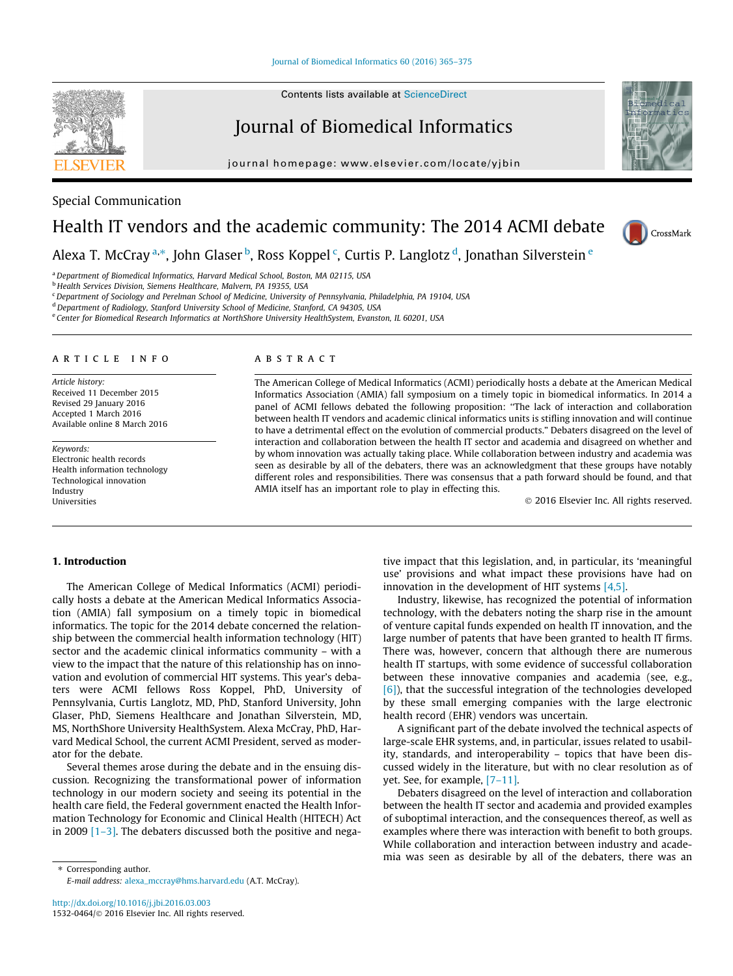## Journal of Biomedical Informatics

journal homepage: [www.elsevier.com/locate/yjbin](http://www.elsevier.com/locate/yjbin)



# Health IT vendors and the academic community: The 2014 ACMI debate



Alexa T. McCray <sup>a,\*</sup>, John Glaser <sup>b</sup>, Ross Koppel <sup>c</sup>, Curtis P. Langlotz <sup>d</sup>, Jonathan Silverstein <sup>e</sup>

<sup>a</sup> Department of Biomedical Informatics, Harvard Medical School, Boston, MA 02115, USA

<sup>b</sup> Health Services Division, Siemens Healthcare, Malvern, PA 19355, USA

<sup>c</sup> Department of Sociology and Perelman School of Medicine, University of Pennsylvania, Philadelphia, PA 19104, USA

<sup>d</sup> Department of Radiology, Stanford University School of Medicine, Stanford, CA 94305, USA

<sup>e</sup> Center for Biomedical Research Informatics at NorthShore University HealthSystem, Evanston, IL 60201, USA

#### article info

Article history: Received 11 December 2015 Revised 29 January 2016 Accepted 1 March 2016 Available online 8 March 2016

Keywords: Electronic health records Health information technology Technological innovation Industry Universities

## ABSTRACT

The American College of Medical Informatics (ACMI) periodically hosts a debate at the American Medical Informatics Association (AMIA) fall symposium on a timely topic in biomedical informatics. In 2014 a panel of ACMI fellows debated the following proposition: ''The lack of interaction and collaboration between health IT vendors and academic clinical informatics units is stifling innovation and will continue to have a detrimental effect on the evolution of commercial products." Debaters disagreed on the level of interaction and collaboration between the health IT sector and academia and disagreed on whether and by whom innovation was actually taking place. While collaboration between industry and academia was seen as desirable by all of the debaters, there was an acknowledgment that these groups have notably different roles and responsibilities. There was consensus that a path forward should be found, and that AMIA itself has an important role to play in effecting this.

2016 Elsevier Inc. All rights reserved.

#### 1. Introduction

The American College of Medical Informatics (ACMI) periodically hosts a debate at the American Medical Informatics Association (AMIA) fall symposium on a timely topic in biomedical informatics. The topic for the 2014 debate concerned the relationship between the commercial health information technology (HIT) sector and the academic clinical informatics community – with a view to the impact that the nature of this relationship has on innovation and evolution of commercial HIT systems. This year's debaters were ACMI fellows Ross Koppel, PhD, University of Pennsylvania, Curtis Langlotz, MD, PhD, Stanford University, John Glaser, PhD, Siemens Healthcare and Jonathan Silverstein, MD, MS, NorthShore University HealthSystem. Alexa McCray, PhD, Harvard Medical School, the current ACMI President, served as moderator for the debate.

Several themes arose during the debate and in the ensuing discussion. Recognizing the transformational power of information technology in our modern society and seeing its potential in the health care field, the Federal government enacted the Health Information Technology for Economic and Clinical Health (HITECH) Act in 2009  $[1-3]$ . The debaters discussed both the positive and nega-

⇑ Corresponding author. E-mail address: [alexa\\_mccray@hms.harvard.edu](mailto:alexa_mccray@hms.harvard.edu) (A.T. McCray). tive impact that this legislation, and, in particular, its 'meaningful use' provisions and what impact these provisions have had on innovation in the development of HIT systems [\[4,5\]](#page-9-0).

Industry, likewise, has recognized the potential of information technology, with the debaters noting the sharp rise in the amount of venture capital funds expended on health IT innovation, and the large number of patents that have been granted to health IT firms. There was, however, concern that although there are numerous health IT startups, with some evidence of successful collaboration between these innovative companies and academia (see, e.g., [\[6\]](#page-9-0)), that the successful integration of the technologies developed by these small emerging companies with the large electronic health record (EHR) vendors was uncertain.

A significant part of the debate involved the technical aspects of large-scale EHR systems, and, in particular, issues related to usability, standards, and interoperability – topics that have been discussed widely in the literature, but with no clear resolution as of yet. See, for example, [\[7–11\]](#page-9-0).

Debaters disagreed on the level of interaction and collaboration between the health IT sector and academia and provided examples of suboptimal interaction, and the consequences thereof, as well as examples where there was interaction with benefit to both groups. While collaboration and interaction between industry and academia was seen as desirable by all of the debaters, there was an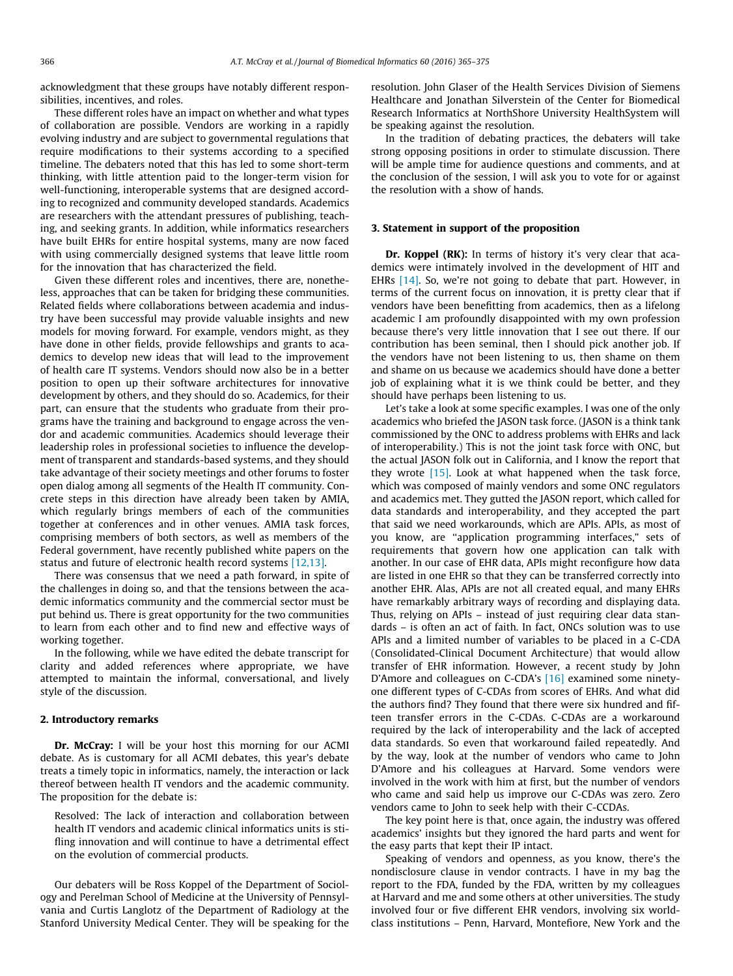acknowledgment that these groups have notably different responsibilities, incentives, and roles.

These different roles have an impact on whether and what types of collaboration are possible. Vendors are working in a rapidly evolving industry and are subject to governmental regulations that require modifications to their systems according to a specified timeline. The debaters noted that this has led to some short-term thinking, with little attention paid to the longer-term vision for well-functioning, interoperable systems that are designed according to recognized and community developed standards. Academics are researchers with the attendant pressures of publishing, teaching, and seeking grants. In addition, while informatics researchers have built EHRs for entire hospital systems, many are now faced with using commercially designed systems that leave little room for the innovation that has characterized the field.

Given these different roles and incentives, there are, nonetheless, approaches that can be taken for bridging these communities. Related fields where collaborations between academia and industry have been successful may provide valuable insights and new models for moving forward. For example, vendors might, as they have done in other fields, provide fellowships and grants to academics to develop new ideas that will lead to the improvement of health care IT systems. Vendors should now also be in a better position to open up their software architectures for innovative development by others, and they should do so. Academics, for their part, can ensure that the students who graduate from their programs have the training and background to engage across the vendor and academic communities. Academics should leverage their leadership roles in professional societies to influence the development of transparent and standards-based systems, and they should take advantage of their society meetings and other forums to foster open dialog among all segments of the Health IT community. Concrete steps in this direction have already been taken by AMIA, which regularly brings members of each of the communities together at conferences and in other venues. AMIA task forces, comprising members of both sectors, as well as members of the Federal government, have recently published white papers on the status and future of electronic health record systems [\[12,13\].](#page-9-0)

There was consensus that we need a path forward, in spite of the challenges in doing so, and that the tensions between the academic informatics community and the commercial sector must be put behind us. There is great opportunity for the two communities to learn from each other and to find new and effective ways of working together.

In the following, while we have edited the debate transcript for clarity and added references where appropriate, we have attempted to maintain the informal, conversational, and lively style of the discussion.

#### 2. Introductory remarks

Dr. McCray: I will be your host this morning for our ACMI debate. As is customary for all ACMI debates, this year's debate treats a timely topic in informatics, namely, the interaction or lack thereof between health IT vendors and the academic community. The proposition for the debate is:

Resolved: The lack of interaction and collaboration between health IT vendors and academic clinical informatics units is stifling innovation and will continue to have a detrimental effect on the evolution of commercial products.

Our debaters will be Ross Koppel of the Department of Sociology and Perelman School of Medicine at the University of Pennsylvania and Curtis Langlotz of the Department of Radiology at the Stanford University Medical Center. They will be speaking for the resolution. John Glaser of the Health Services Division of Siemens Healthcare and Jonathan Silverstein of the Center for Biomedical Research Informatics at NorthShore University HealthSystem will be speaking against the resolution.

In the tradition of debating practices, the debaters will take strong opposing positions in order to stimulate discussion. There will be ample time for audience questions and comments, and at the conclusion of the session, I will ask you to vote for or against the resolution with a show of hands.

#### 3. Statement in support of the proposition

Dr. Koppel (RK): In terms of history it's very clear that academics were intimately involved in the development of HIT and EHRs [\[14\]](#page-9-0). So, we're not going to debate that part. However, in terms of the current focus on innovation, it is pretty clear that if vendors have been benefitting from academics, then as a lifelong academic I am profoundly disappointed with my own profession because there's very little innovation that I see out there. If our contribution has been seminal, then I should pick another job. If the vendors have not been listening to us, then shame on them and shame on us because we academics should have done a better job of explaining what it is we think could be better, and they should have perhaps been listening to us.

Let's take a look at some specific examples. I was one of the only academics who briefed the JASON task force. (JASON is a think tank commissioned by the ONC to address problems with EHRs and lack of interoperability.) This is not the joint task force with ONC, but the actual JASON folk out in California, and I know the report that they wrote  $[15]$ . Look at what happened when the task force, which was composed of mainly vendors and some ONC regulators and academics met. They gutted the JASON report, which called for data standards and interoperability, and they accepted the part that said we need workarounds, which are APIs. APIs, as most of you know, are ''application programming interfaces," sets of requirements that govern how one application can talk with another. In our case of EHR data, APIs might reconfigure how data are listed in one EHR so that they can be transferred correctly into another EHR. Alas, APIs are not all created equal, and many EHRs have remarkably arbitrary ways of recording and displaying data. Thus, relying on APIs – instead of just requiring clear data standards – is often an act of faith. In fact, ONCs solution was to use APIs and a limited number of variables to be placed in a C-CDA (Consolidated-Clinical Document Architecture) that would allow transfer of EHR information. However, a recent study by John D'Amore and colleagues on C-CDA's [\[16\]](#page-10-0) examined some ninetyone different types of C-CDAs from scores of EHRs. And what did the authors find? They found that there were six hundred and fifteen transfer errors in the C-CDAs. C-CDAs are a workaround required by the lack of interoperability and the lack of accepted data standards. So even that workaround failed repeatedly. And by the way, look at the number of vendors who came to John D'Amore and his colleagues at Harvard. Some vendors were involved in the work with him at first, but the number of vendors who came and said help us improve our C-CDAs was zero. Zero vendors came to John to seek help with their C-CCDAs.

The key point here is that, once again, the industry was offered academics' insights but they ignored the hard parts and went for the easy parts that kept their IP intact.

Speaking of vendors and openness, as you know, there's the nondisclosure clause in vendor contracts. I have in my bag the report to the FDA, funded by the FDA, written by my colleagues at Harvard and me and some others at other universities. The study involved four or five different EHR vendors, involving six worldclass institutions – Penn, Harvard, Montefiore, New York and the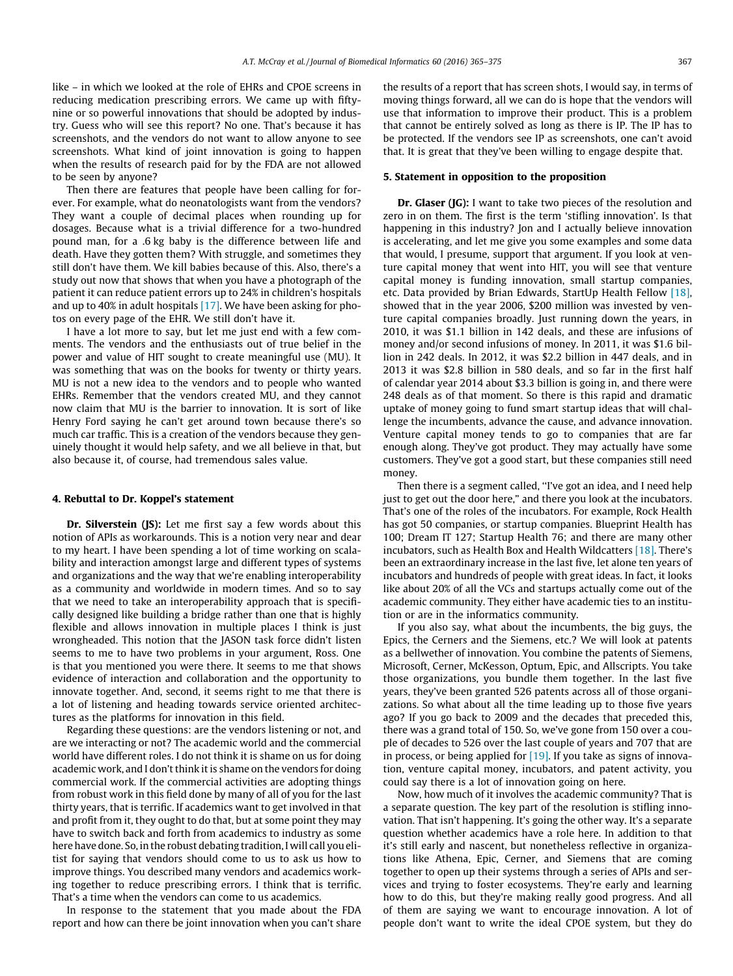like – in which we looked at the role of EHRs and CPOE screens in reducing medication prescribing errors. We came up with fiftynine or so powerful innovations that should be adopted by industry. Guess who will see this report? No one. That's because it has screenshots, and the vendors do not want to allow anyone to see screenshots. What kind of joint innovation is going to happen when the results of research paid for by the FDA are not allowed to be seen by anyone?

Then there are features that people have been calling for forever. For example, what do neonatologists want from the vendors? They want a couple of decimal places when rounding up for dosages. Because what is a trivial difference for a two-hundred pound man, for a .6 kg baby is the difference between life and death. Have they gotten them? With struggle, and sometimes they still don't have them. We kill babies because of this. Also, there's a study out now that shows that when you have a photograph of the patient it can reduce patient errors up to 24% in children's hospitals and up to 40% in adult hospitals [\[17\].](#page-10-0) We have been asking for photos on every page of the EHR. We still don't have it.

I have a lot more to say, but let me just end with a few comments. The vendors and the enthusiasts out of true belief in the power and value of HIT sought to create meaningful use (MU). It was something that was on the books for twenty or thirty years. MU is not a new idea to the vendors and to people who wanted EHRs. Remember that the vendors created MU, and they cannot now claim that MU is the barrier to innovation. It is sort of like Henry Ford saying he can't get around town because there's so much car traffic. This is a creation of the vendors because they genuinely thought it would help safety, and we all believe in that, but also because it, of course, had tremendous sales value.

#### 4. Rebuttal to Dr. Koppel's statement

Dr. Silverstein (JS): Let me first say a few words about this notion of APIs as workarounds. This is a notion very near and dear to my heart. I have been spending a lot of time working on scalability and interaction amongst large and different types of systems and organizations and the way that we're enabling interoperability as a community and worldwide in modern times. And so to say that we need to take an interoperability approach that is specifically designed like building a bridge rather than one that is highly flexible and allows innovation in multiple places I think is just wrongheaded. This notion that the JASON task force didn't listen seems to me to have two problems in your argument, Ross. One is that you mentioned you were there. It seems to me that shows evidence of interaction and collaboration and the opportunity to innovate together. And, second, it seems right to me that there is a lot of listening and heading towards service oriented architectures as the platforms for innovation in this field.

Regarding these questions: are the vendors listening or not, and are we interacting or not? The academic world and the commercial world have different roles. I do not think it is shame on us for doing academic work, and I don't think it is shame on the vendors for doing commercial work. If the commercial activities are adopting things from robust work in this field done by many of all of you for the last thirty years, that is terrific. If academics want to get involved in that and profit from it, they ought to do that, but at some point they may have to switch back and forth from academics to industry as some here have done. So, in the robust debating tradition, I will call you elitist for saying that vendors should come to us to ask us how to improve things. You described many vendors and academics working together to reduce prescribing errors. I think that is terrific. That's a time when the vendors can come to us academics.

In response to the statement that you made about the FDA report and how can there be joint innovation when you can't share the results of a report that has screen shots, I would say, in terms of moving things forward, all we can do is hope that the vendors will use that information to improve their product. This is a problem that cannot be entirely solved as long as there is IP. The IP has to be protected. If the vendors see IP as screenshots, one can't avoid that. It is great that they've been willing to engage despite that.

#### 5. Statement in opposition to the proposition

Dr. Glaser (JG): I want to take two pieces of the resolution and zero in on them. The first is the term 'stifling innovation'. Is that happening in this industry? Jon and I actually believe innovation is accelerating, and let me give you some examples and some data that would, I presume, support that argument. If you look at venture capital money that went into HIT, you will see that venture capital money is funding innovation, small startup companies, etc. Data provided by Brian Edwards, StartUp Health Fellow [\[18\],](#page-10-0) showed that in the year 2006, \$200 million was invested by venture capital companies broadly. Just running down the years, in 2010, it was \$1.1 billion in 142 deals, and these are infusions of money and/or second infusions of money. In 2011, it was \$1.6 billion in 242 deals. In 2012, it was \$2.2 billion in 447 deals, and in 2013 it was \$2.8 billion in 580 deals, and so far in the first half of calendar year 2014 about \$3.3 billion is going in, and there were 248 deals as of that moment. So there is this rapid and dramatic uptake of money going to fund smart startup ideas that will challenge the incumbents, advance the cause, and advance innovation. Venture capital money tends to go to companies that are far enough along. They've got product. They may actually have some customers. They've got a good start, but these companies still need money.

Then there is a segment called, "I've got an idea, and I need help just to get out the door here," and there you look at the incubators. That's one of the roles of the incubators. For example, Rock Health has got 50 companies, or startup companies. Blueprint Health has 100; Dream IT 127; Startup Health 76; and there are many other incubators, such as Health Box and Health Wildcatters [\[18\].](#page-10-0) There's been an extraordinary increase in the last five, let alone ten years of incubators and hundreds of people with great ideas. In fact, it looks like about 20% of all the VCs and startups actually come out of the academic community. They either have academic ties to an institution or are in the informatics community.

If you also say, what about the incumbents, the big guys, the Epics, the Cerners and the Siemens, etc.? We will look at patents as a bellwether of innovation. You combine the patents of Siemens, Microsoft, Cerner, McKesson, Optum, Epic, and Allscripts. You take those organizations, you bundle them together. In the last five years, they've been granted 526 patents across all of those organizations. So what about all the time leading up to those five years ago? If you go back to 2009 and the decades that preceded this, there was a grand total of 150. So, we've gone from 150 over a couple of decades to 526 over the last couple of years and 707 that are in process, or being applied for  $[19]$ . If you take as signs of innovation, venture capital money, incubators, and patent activity, you could say there is a lot of innovation going on here.

Now, how much of it involves the academic community? That is a separate question. The key part of the resolution is stifling innovation. That isn't happening. It's going the other way. It's a separate question whether academics have a role here. In addition to that it's still early and nascent, but nonetheless reflective in organizations like Athena, Epic, Cerner, and Siemens that are coming together to open up their systems through a series of APIs and services and trying to foster ecosystems. They're early and learning how to do this, but they're making really good progress. And all of them are saying we want to encourage innovation. A lot of people don't want to write the ideal CPOE system, but they do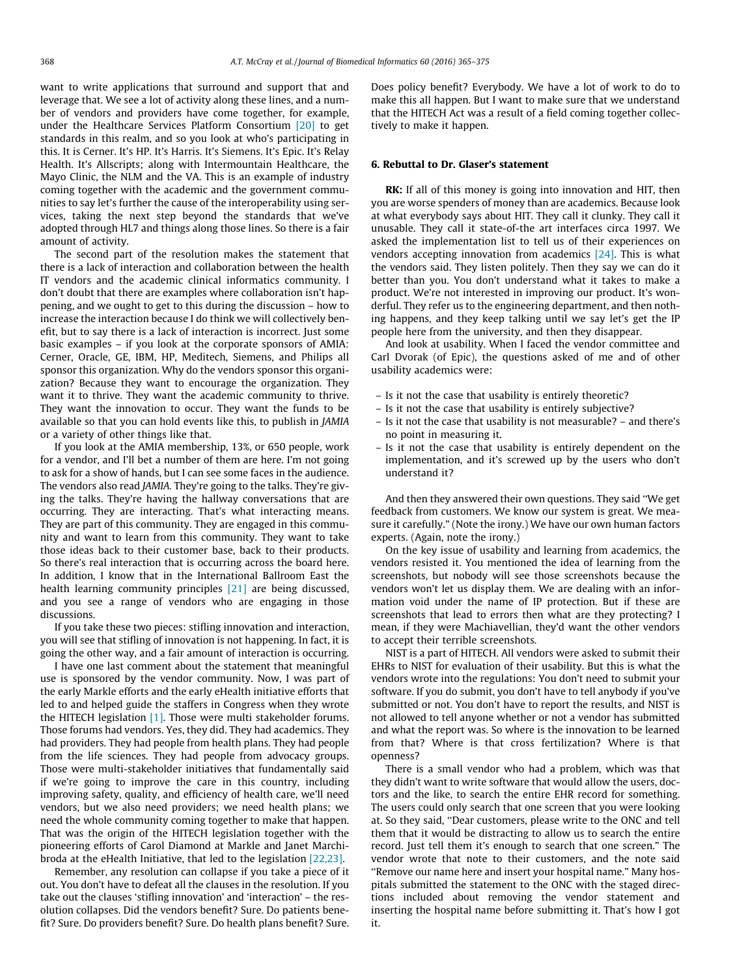want to write applications that surround and support that and leverage that. We see a lot of activity along these lines, and a number of vendors and providers have come together, for example, under the Healthcare Services Platform Consortium [\[20\]](#page-10-0) to get standards in this realm, and so you look at who's participating in this. It is Cerner. It's HP. It's Harris. It's Siemens. It's Epic. It's Relay Health. It's Allscripts; along with Intermountain Healthcare, the Mayo Clinic, the NLM and the VA. This is an example of industry coming together with the academic and the government communities to say let's further the cause of the interoperability using services, taking the next step beyond the standards that we've adopted through HL7 and things along those lines. So there is a fair amount of activity.

The second part of the resolution makes the statement that there is a lack of interaction and collaboration between the health IT vendors and the academic clinical informatics community. I don't doubt that there are examples where collaboration isn't happening, and we ought to get to this during the discussion – how to increase the interaction because I do think we will collectively benefit, but to say there is a lack of interaction is incorrect. Just some basic examples – if you look at the corporate sponsors of AMIA: Cerner, Oracle, GE, IBM, HP, Meditech, Siemens, and Philips all sponsor this organization. Why do the vendors sponsor this organization? Because they want to encourage the organization. They want it to thrive. They want the academic community to thrive. They want the innovation to occur. They want the funds to be available so that you can hold events like this, to publish in JAMIA or a variety of other things like that.

If you look at the AMIA membership, 13%, or 650 people, work for a vendor, and I'll bet a number of them are here. I'm not going to ask for a show of hands, but I can see some faces in the audience. The vendors also read JAMIA. They're going to the talks. They're giving the talks. They're having the hallway conversations that are occurring. They are interacting. That's what interacting means. They are part of this community. They are engaged in this community and want to learn from this community. They want to take those ideas back to their customer base, back to their products. So there's real interaction that is occurring across the board here. In addition, I know that in the International Ballroom East the health learning community principles [\[21\]](#page-10-0) are being discussed, and you see a range of vendors who are engaging in those discussions.

If you take these two pieces: stifling innovation and interaction, you will see that stifling of innovation is not happening. In fact, it is going the other way, and a fair amount of interaction is occurring.

I have one last comment about the statement that meaningful use is sponsored by the vendor community. Now, I was part of the early Markle efforts and the early eHealth initiative efforts that led to and helped guide the staffers in Congress when they wrote the HITECH legislation [\[1\].](#page-9-0) Those were multi stakeholder forums. Those forums had vendors. Yes, they did. They had academics. They had providers. They had people from health plans. They had people from the life sciences. They had people from advocacy groups. Those were multi-stakeholder initiatives that fundamentally said if we're going to improve the care in this country, including improving safety, quality, and efficiency of health care, we'll need vendors, but we also need providers; we need health plans; we need the whole community coming together to make that happen. That was the origin of the HITECH legislation together with the pioneering efforts of Carol Diamond at Markle and Janet Marchibroda at the eHealth Initiative, that led to the legislation [\[22,23\].](#page-10-0)

Remember, any resolution can collapse if you take a piece of it out. You don't have to defeat all the clauses in the resolution. If you take out the clauses 'stifling innovation' and 'interaction' – the resolution collapses. Did the vendors benefit? Sure. Do patients benefit? Sure. Do providers benefit? Sure. Do health plans benefit? Sure. Does policy benefit? Everybody. We have a lot of work to do to make this all happen. But I want to make sure that we understand that the HITECH Act was a result of a field coming together collectively to make it happen.

## 6. Rebuttal to Dr. Glaser's statement

RK: If all of this money is going into innovation and HIT, then you are worse spenders of money than are academics. Because look at what everybody says about HIT. They call it clunky. They call it unusable. They call it state-of-the art interfaces circa 1997. We asked the implementation list to tell us of their experiences on vendors accepting innovation from academics [\[24\]](#page-10-0). This is what the vendors said. They listen politely. Then they say we can do it better than you. You don't understand what it takes to make a product. We're not interested in improving our product. It's wonderful. They refer us to the engineering department, and then nothing happens, and they keep talking until we say let's get the IP people here from the university, and then they disappear.

And look at usability. When I faced the vendor committee and Carl Dvorak (of Epic), the questions asked of me and of other usability academics were:

- Is it not the case that usability is entirely theoretic?
- Is it not the case that usability is entirely subjective?
- Is it not the case that usability is not measurable? and there's no point in measuring it.
- Is it not the case that usability is entirely dependent on the implementation, and it's screwed up by the users who don't understand it?

And then they answered their own questions. They said ''We get feedback from customers. We know our system is great. We measure it carefully." (Note the irony.) We have our own human factors experts. (Again, note the irony.)

On the key issue of usability and learning from academics, the vendors resisted it. You mentioned the idea of learning from the screenshots, but nobody will see those screenshots because the vendors won't let us display them. We are dealing with an information void under the name of IP protection. But if these are screenshots that lead to errors then what are they protecting? I mean, if they were Machiavellian, they'd want the other vendors to accept their terrible screenshots.

NIST is a part of HITECH. All vendors were asked to submit their EHRs to NIST for evaluation of their usability. But this is what the vendors wrote into the regulations: You don't need to submit your software. If you do submit, you don't have to tell anybody if you've submitted or not. You don't have to report the results, and NIST is not allowed to tell anyone whether or not a vendor has submitted and what the report was. So where is the innovation to be learned from that? Where is that cross fertilization? Where is that openness?

There is a small vendor who had a problem, which was that they didn't want to write software that would allow the users, doctors and the like, to search the entire EHR record for something. The users could only search that one screen that you were looking at. So they said, ''Dear customers, please write to the ONC and tell them that it would be distracting to allow us to search the entire record. Just tell them it's enough to search that one screen." The vendor wrote that note to their customers, and the note said ''Remove our name here and insert your hospital name." Many hospitals submitted the statement to the ONC with the staged directions included about removing the vendor statement and inserting the hospital name before submitting it. That's how I got it.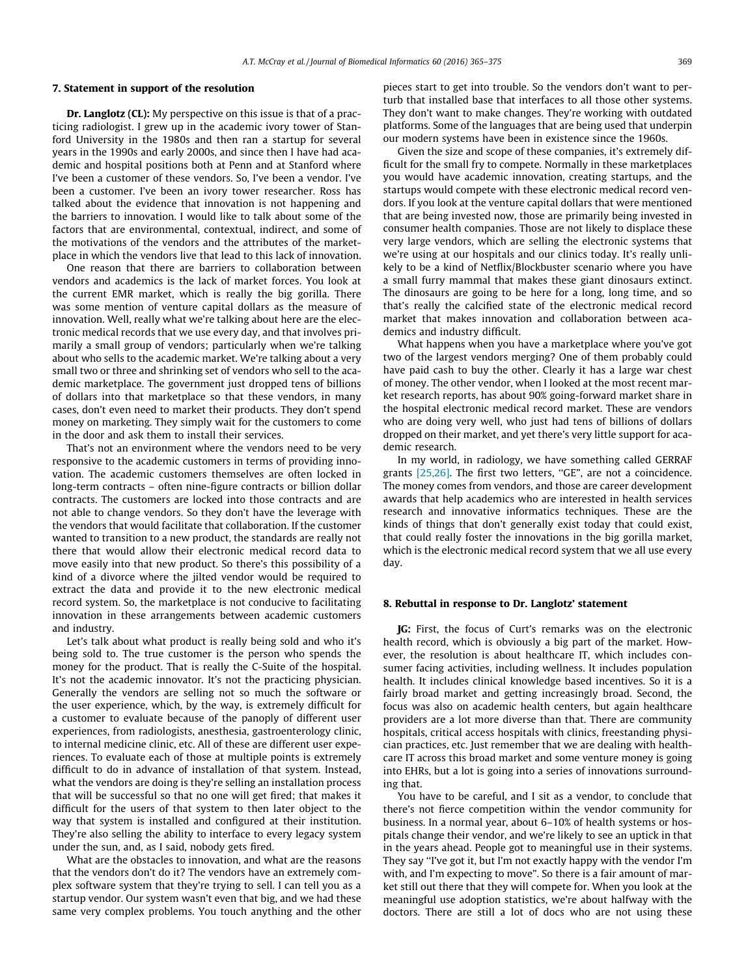#### 7. Statement in support of the resolution

Dr. Langlotz (CL): My perspective on this issue is that of a practicing radiologist. I grew up in the academic ivory tower of Stanford University in the 1980s and then ran a startup for several years in the 1990s and early 2000s, and since then I have had academic and hospital positions both at Penn and at Stanford where I've been a customer of these vendors. So, I've been a vendor. I've been a customer. I've been an ivory tower researcher. Ross has talked about the evidence that innovation is not happening and the barriers to innovation. I would like to talk about some of the factors that are environmental, contextual, indirect, and some of the motivations of the vendors and the attributes of the marketplace in which the vendors live that lead to this lack of innovation.

One reason that there are barriers to collaboration between vendors and academics is the lack of market forces. You look at the current EMR market, which is really the big gorilla. There was some mention of venture capital dollars as the measure of innovation. Well, really what we're talking about here are the electronic medical records that we use every day, and that involves primarily a small group of vendors; particularly when we're talking about who sells to the academic market. We're talking about a very small two or three and shrinking set of vendors who sell to the academic marketplace. The government just dropped tens of billions of dollars into that marketplace so that these vendors, in many cases, don't even need to market their products. They don't spend money on marketing. They simply wait for the customers to come in the door and ask them to install their services.

That's not an environment where the vendors need to be very responsive to the academic customers in terms of providing innovation. The academic customers themselves are often locked in long-term contracts – often nine-figure contracts or billion dollar contracts. The customers are locked into those contracts and are not able to change vendors. So they don't have the leverage with the vendors that would facilitate that collaboration. If the customer wanted to transition to a new product, the standards are really not there that would allow their electronic medical record data to move easily into that new product. So there's this possibility of a kind of a divorce where the jilted vendor would be required to extract the data and provide it to the new electronic medical record system. So, the marketplace is not conducive to facilitating innovation in these arrangements between academic customers and industry.

Let's talk about what product is really being sold and who it's being sold to. The true customer is the person who spends the money for the product. That is really the C-Suite of the hospital. It's not the academic innovator. It's not the practicing physician. Generally the vendors are selling not so much the software or the user experience, which, by the way, is extremely difficult for a customer to evaluate because of the panoply of different user experiences, from radiologists, anesthesia, gastroenterology clinic, to internal medicine clinic, etc. All of these are different user experiences. To evaluate each of those at multiple points is extremely difficult to do in advance of installation of that system. Instead, what the vendors are doing is they're selling an installation process that will be successful so that no one will get fired; that makes it difficult for the users of that system to then later object to the way that system is installed and configured at their institution. They're also selling the ability to interface to every legacy system under the sun, and, as I said, nobody gets fired.

What are the obstacles to innovation, and what are the reasons that the vendors don't do it? The vendors have an extremely complex software system that they're trying to sell. I can tell you as a startup vendor. Our system wasn't even that big, and we had these same very complex problems. You touch anything and the other pieces start to get into trouble. So the vendors don't want to perturb that installed base that interfaces to all those other systems. They don't want to make changes. They're working with outdated platforms. Some of the languages that are being used that underpin our modern systems have been in existence since the 1960s.

Given the size and scope of these companies, it's extremely difficult for the small fry to compete. Normally in these marketplaces you would have academic innovation, creating startups, and the startups would compete with these electronic medical record vendors. If you look at the venture capital dollars that were mentioned that are being invested now, those are primarily being invested in consumer health companies. Those are not likely to displace these very large vendors, which are selling the electronic systems that we're using at our hospitals and our clinics today. It's really unlikely to be a kind of Netflix/Blockbuster scenario where you have a small furry mammal that makes these giant dinosaurs extinct. The dinosaurs are going to be here for a long, long time, and so that's really the calcified state of the electronic medical record market that makes innovation and collaboration between academics and industry difficult.

What happens when you have a marketplace where you've got two of the largest vendors merging? One of them probably could have paid cash to buy the other. Clearly it has a large war chest of money. The other vendor, when I looked at the most recent market research reports, has about 90% going-forward market share in the hospital electronic medical record market. These are vendors who are doing very well, who just had tens of billions of dollars dropped on their market, and yet there's very little support for academic research.

In my world, in radiology, we have something called GERRAF grants [\[25,26\]](#page-10-0). The first two letters, ''GE", are not a coincidence. The money comes from vendors, and those are career development awards that help academics who are interested in health services research and innovative informatics techniques. These are the kinds of things that don't generally exist today that could exist, that could really foster the innovations in the big gorilla market, which is the electronic medical record system that we all use every day.

#### 8. Rebuttal in response to Dr. Langlotz' statement

JG: First, the focus of Curt's remarks was on the electronic health record, which is obviously a big part of the market. However, the resolution is about healthcare IT, which includes consumer facing activities, including wellness. It includes population health. It includes clinical knowledge based incentives. So it is a fairly broad market and getting increasingly broad. Second, the focus was also on academic health centers, but again healthcare providers are a lot more diverse than that. There are community hospitals, critical access hospitals with clinics, freestanding physician practices, etc. Just remember that we are dealing with healthcare IT across this broad market and some venture money is going into EHRs, but a lot is going into a series of innovations surrounding that.

You have to be careful, and I sit as a vendor, to conclude that there's not fierce competition within the vendor community for business. In a normal year, about 6–10% of health systems or hospitals change their vendor, and we're likely to see an uptick in that in the years ahead. People got to meaningful use in their systems. They say ''I've got it, but I'm not exactly happy with the vendor I'm with, and I'm expecting to move". So there is a fair amount of market still out there that they will compete for. When you look at the meaningful use adoption statistics, we're about halfway with the doctors. There are still a lot of docs who are not using these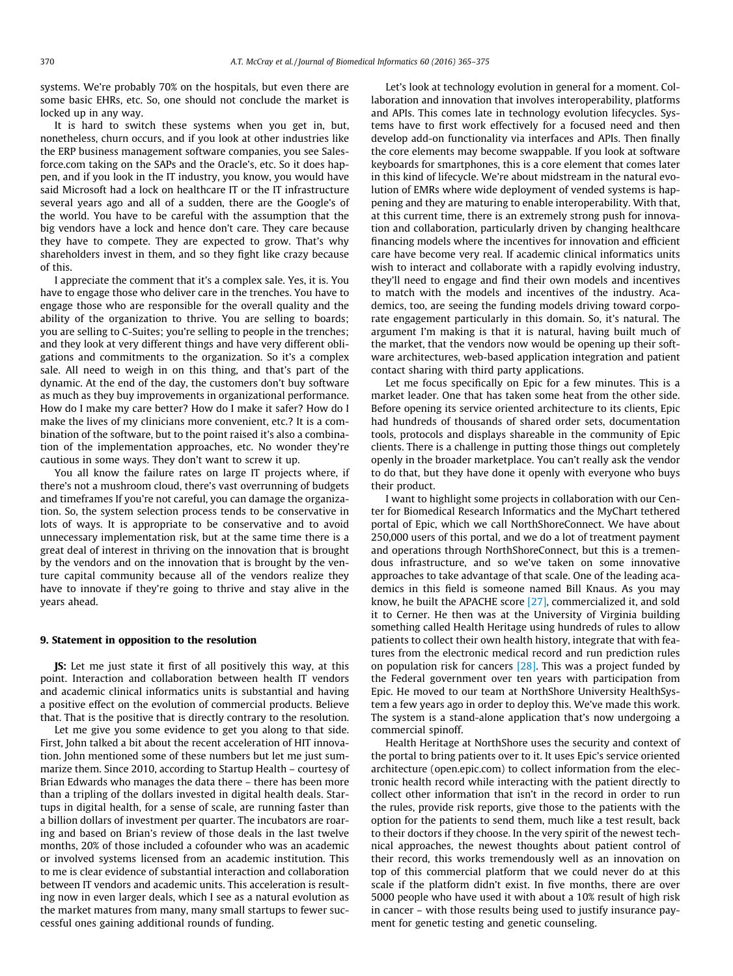systems. We're probably 70% on the hospitals, but even there are some basic EHRs, etc. So, one should not conclude the market is locked up in any way.

It is hard to switch these systems when you get in, but, nonetheless, churn occurs, and if you look at other industries like the ERP business management software companies, you see Salesforce.com taking on the SAPs and the Oracle's, etc. So it does happen, and if you look in the IT industry, you know, you would have said Microsoft had a lock on healthcare IT or the IT infrastructure several years ago and all of a sudden, there are the Google's of the world. You have to be careful with the assumption that the big vendors have a lock and hence don't care. They care because they have to compete. They are expected to grow. That's why shareholders invest in them, and so they fight like crazy because of this.

I appreciate the comment that it's a complex sale. Yes, it is. You have to engage those who deliver care in the trenches. You have to engage those who are responsible for the overall quality and the ability of the organization to thrive. You are selling to boards; you are selling to C-Suites; you're selling to people in the trenches; and they look at very different things and have very different obligations and commitments to the organization. So it's a complex sale. All need to weigh in on this thing, and that's part of the dynamic. At the end of the day, the customers don't buy software as much as they buy improvements in organizational performance. How do I make my care better? How do I make it safer? How do I make the lives of my clinicians more convenient, etc.? It is a combination of the software, but to the point raised it's also a combination of the implementation approaches, etc. No wonder they're cautious in some ways. They don't want to screw it up.

You all know the failure rates on large IT projects where, if there's not a mushroom cloud, there's vast overrunning of budgets and timeframes If you're not careful, you can damage the organization. So, the system selection process tends to be conservative in lots of ways. It is appropriate to be conservative and to avoid unnecessary implementation risk, but at the same time there is a great deal of interest in thriving on the innovation that is brought by the vendors and on the innovation that is brought by the venture capital community because all of the vendors realize they have to innovate if they're going to thrive and stay alive in the years ahead.

#### 9. Statement in opposition to the resolution

JS: Let me just state it first of all positively this way, at this point. Interaction and collaboration between health IT vendors and academic clinical informatics units is substantial and having a positive effect on the evolution of commercial products. Believe that. That is the positive that is directly contrary to the resolution.

Let me give you some evidence to get you along to that side. First, John talked a bit about the recent acceleration of HIT innovation. John mentioned some of these numbers but let me just summarize them. Since 2010, according to Startup Health – courtesy of Brian Edwards who manages the data there – there has been more than a tripling of the dollars invested in digital health deals. Startups in digital health, for a sense of scale, are running faster than a billion dollars of investment per quarter. The incubators are roaring and based on Brian's review of those deals in the last twelve months, 20% of those included a cofounder who was an academic or involved systems licensed from an academic institution. This to me is clear evidence of substantial interaction and collaboration between IT vendors and academic units. This acceleration is resulting now in even larger deals, which I see as a natural evolution as the market matures from many, many small startups to fewer successful ones gaining additional rounds of funding.

Let's look at technology evolution in general for a moment. Collaboration and innovation that involves interoperability, platforms and APIs. This comes late in technology evolution lifecycles. Systems have to first work effectively for a focused need and then develop add-on functionality via interfaces and APIs. Then finally the core elements may become swappable. If you look at software keyboards for smartphones, this is a core element that comes later in this kind of lifecycle. We're about midstream in the natural evolution of EMRs where wide deployment of vended systems is happening and they are maturing to enable interoperability. With that, at this current time, there is an extremely strong push for innovation and collaboration, particularly driven by changing healthcare financing models where the incentives for innovation and efficient care have become very real. If academic clinical informatics units wish to interact and collaborate with a rapidly evolving industry, they'll need to engage and find their own models and incentives to match with the models and incentives of the industry. Academics, too, are seeing the funding models driving toward corporate engagement particularly in this domain. So, it's natural. The argument I'm making is that it is natural, having built much of the market, that the vendors now would be opening up their software architectures, web-based application integration and patient contact sharing with third party applications.

Let me focus specifically on Epic for a few minutes. This is a market leader. One that has taken some heat from the other side. Before opening its service oriented architecture to its clients, Epic had hundreds of thousands of shared order sets, documentation tools, protocols and displays shareable in the community of Epic clients. There is a challenge in putting those things out completely openly in the broader marketplace. You can't really ask the vendor to do that, but they have done it openly with everyone who buys their product.

I want to highlight some projects in collaboration with our Center for Biomedical Research Informatics and the MyChart tethered portal of Epic, which we call NorthShoreConnect. We have about 250,000 users of this portal, and we do a lot of treatment payment and operations through NorthShoreConnect, but this is a tremendous infrastructure, and so we've taken on some innovative approaches to take advantage of that scale. One of the leading academics in this field is someone named Bill Knaus. As you may know, he built the APACHE score [\[27\]](#page-10-0), commercialized it, and sold it to Cerner. He then was at the University of Virginia building something called Health Heritage using hundreds of rules to allow patients to collect their own health history, integrate that with features from the electronic medical record and run prediction rules on population risk for cancers  $[28]$ . This was a project funded by the Federal government over ten years with participation from Epic. He moved to our team at NorthShore University HealthSystem a few years ago in order to deploy this. We've made this work. The system is a stand-alone application that's now undergoing a commercial spinoff.

Health Heritage at NorthShore uses the security and context of the portal to bring patients over to it. It uses Epic's service oriented architecture (open.epic.com) to collect information from the electronic health record while interacting with the patient directly to collect other information that isn't in the record in order to run the rules, provide risk reports, give those to the patients with the option for the patients to send them, much like a test result, back to their doctors if they choose. In the very spirit of the newest technical approaches, the newest thoughts about patient control of their record, this works tremendously well as an innovation on top of this commercial platform that we could never do at this scale if the platform didn't exist. In five months, there are over 5000 people who have used it with about a 10% result of high risk in cancer – with those results being used to justify insurance payment for genetic testing and genetic counseling.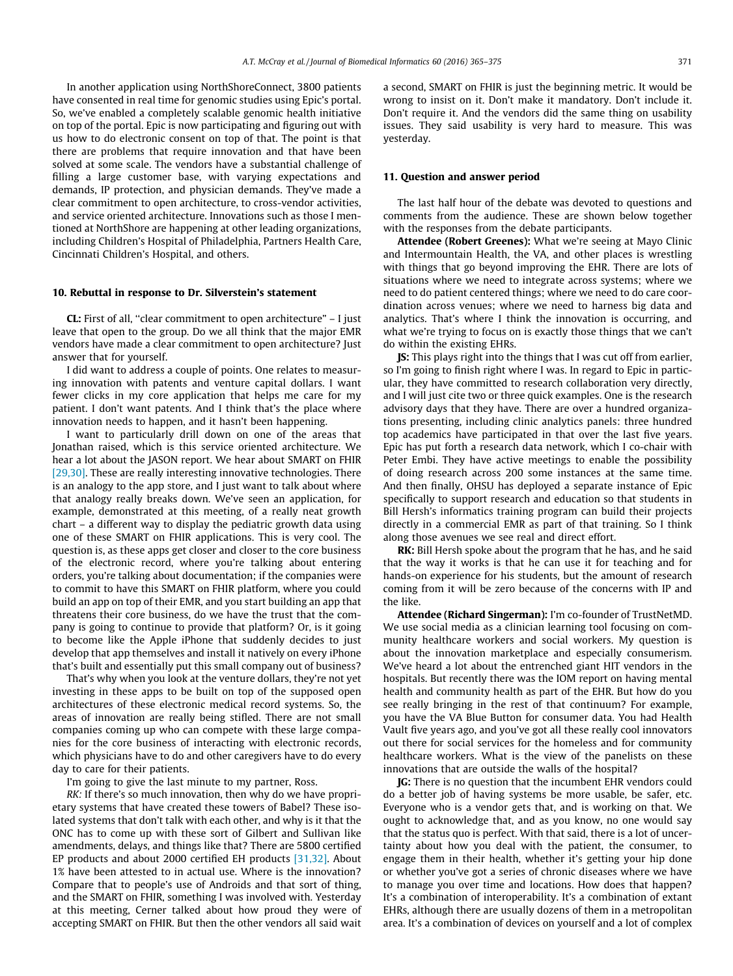In another application using NorthShoreConnect, 3800 patients have consented in real time for genomic studies using Epic's portal. So, we've enabled a completely scalable genomic health initiative on top of the portal. Epic is now participating and figuring out with us how to do electronic consent on top of that. The point is that there are problems that require innovation and that have been solved at some scale. The vendors have a substantial challenge of filling a large customer base, with varying expectations and demands, IP protection, and physician demands. They've made a clear commitment to open architecture, to cross-vendor activities, and service oriented architecture. Innovations such as those I mentioned at NorthShore are happening at other leading organizations, including Children's Hospital of Philadelphia, Partners Health Care, Cincinnati Children's Hospital, and others.

#### 10. Rebuttal in response to Dr. Silverstein's statement

CL: First of all, ''clear commitment to open architecture" – I just leave that open to the group. Do we all think that the major EMR vendors have made a clear commitment to open architecture? Just answer that for yourself.

I did want to address a couple of points. One relates to measuring innovation with patents and venture capital dollars. I want fewer clicks in my core application that helps me care for my patient. I don't want patents. And I think that's the place where innovation needs to happen, and it hasn't been happening.

I want to particularly drill down on one of the areas that Jonathan raised, which is this service oriented architecture. We hear a lot about the JASON report. We hear about SMART on FHIR [\[29,30\]](#page-10-0). These are really interesting innovative technologies. There is an analogy to the app store, and I just want to talk about where that analogy really breaks down. We've seen an application, for example, demonstrated at this meeting, of a really neat growth chart – a different way to display the pediatric growth data using one of these SMART on FHIR applications. This is very cool. The question is, as these apps get closer and closer to the core business of the electronic record, where you're talking about entering orders, you're talking about documentation; if the companies were to commit to have this SMART on FHIR platform, where you could build an app on top of their EMR, and you start building an app that threatens their core business, do we have the trust that the company is going to continue to provide that platform? Or, is it going to become like the Apple iPhone that suddenly decides to just develop that app themselves and install it natively on every iPhone that's built and essentially put this small company out of business?

That's why when you look at the venture dollars, they're not yet investing in these apps to be built on top of the supposed open architectures of these electronic medical record systems. So, the areas of innovation are really being stifled. There are not small companies coming up who can compete with these large companies for the core business of interacting with electronic records, which physicians have to do and other caregivers have to do every day to care for their patients.

I'm going to give the last minute to my partner, Ross.

RK: If there's so much innovation, then why do we have proprietary systems that have created these towers of Babel? These isolated systems that don't talk with each other, and why is it that the ONC has to come up with these sort of Gilbert and Sullivan like amendments, delays, and things like that? There are 5800 certified EP products and about 2000 certified EH products [\[31,32\].](#page-10-0) About 1% have been attested to in actual use. Where is the innovation? Compare that to people's use of Androids and that sort of thing, and the SMART on FHIR, something I was involved with. Yesterday at this meeting, Cerner talked about how proud they were of accepting SMART on FHIR. But then the other vendors all said wait a second, SMART on FHIR is just the beginning metric. It would be wrong to insist on it. Don't make it mandatory. Don't include it. Don't require it. And the vendors did the same thing on usability issues. They said usability is very hard to measure. This was yesterday.

#### 11. Question and answer period

The last half hour of the debate was devoted to questions and comments from the audience. These are shown below together with the responses from the debate participants.

Attendee (Robert Greenes): What we're seeing at Mayo Clinic and Intermountain Health, the VA, and other places is wrestling with things that go beyond improving the EHR. There are lots of situations where we need to integrate across systems; where we need to do patient centered things; where we need to do care coordination across venues; where we need to harness big data and analytics. That's where I think the innovation is occurring, and what we're trying to focus on is exactly those things that we can't do within the existing EHRs.

JS: This plays right into the things that I was cut off from earlier, so I'm going to finish right where I was. In regard to Epic in particular, they have committed to research collaboration very directly, and I will just cite two or three quick examples. One is the research advisory days that they have. There are over a hundred organizations presenting, including clinic analytics panels: three hundred top academics have participated in that over the last five years. Epic has put forth a research data network, which I co-chair with Peter Embi. They have active meetings to enable the possibility of doing research across 200 some instances at the same time. And then finally, OHSU has deployed a separate instance of Epic specifically to support research and education so that students in Bill Hersh's informatics training program can build their projects directly in a commercial EMR as part of that training. So I think along those avenues we see real and direct effort.

RK: Bill Hersh spoke about the program that he has, and he said that the way it works is that he can use it for teaching and for hands-on experience for his students, but the amount of research coming from it will be zero because of the concerns with IP and the like.

Attendee (Richard Singerman): I'm co-founder of TrustNetMD. We use social media as a clinician learning tool focusing on community healthcare workers and social workers. My question is about the innovation marketplace and especially consumerism. We've heard a lot about the entrenched giant HIT vendors in the hospitals. But recently there was the IOM report on having mental health and community health as part of the EHR. But how do you see really bringing in the rest of that continuum? For example, you have the VA Blue Button for consumer data. You had Health Vault five years ago, and you've got all these really cool innovators out there for social services for the homeless and for community healthcare workers. What is the view of the panelists on these innovations that are outside the walls of the hospital?

JG: There is no question that the incumbent EHR vendors could do a better job of having systems be more usable, be safer, etc. Everyone who is a vendor gets that, and is working on that. We ought to acknowledge that, and as you know, no one would say that the status quo is perfect. With that said, there is a lot of uncertainty about how you deal with the patient, the consumer, to engage them in their health, whether it's getting your hip done or whether you've got a series of chronic diseases where we have to manage you over time and locations. How does that happen? It's a combination of interoperability. It's a combination of extant EHRs, although there are usually dozens of them in a metropolitan area. It's a combination of devices on yourself and a lot of complex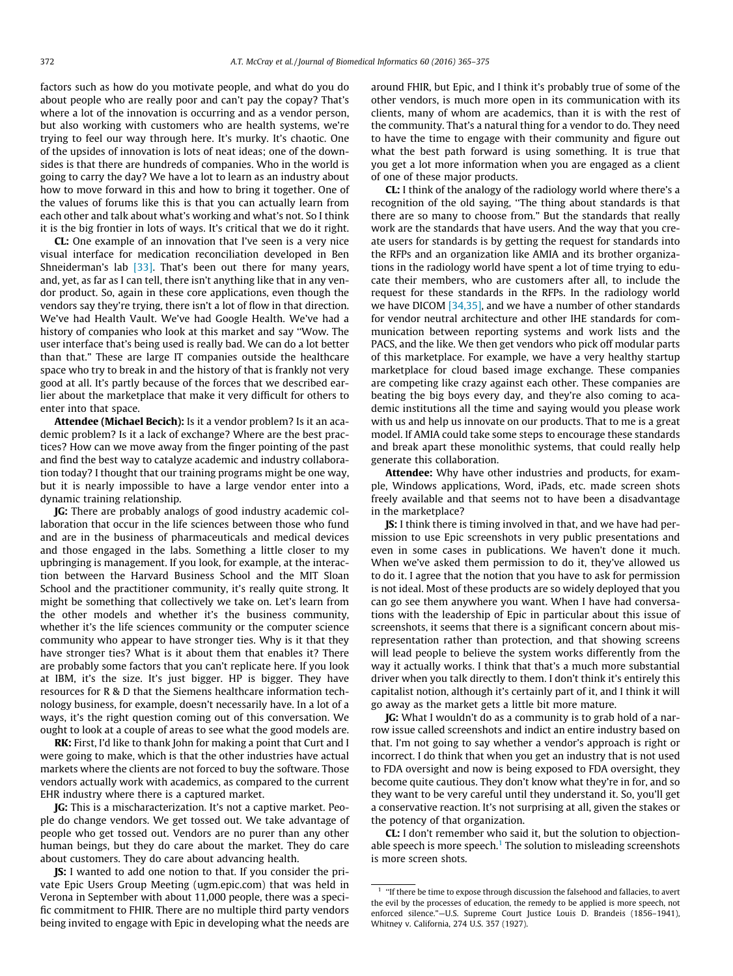factors such as how do you motivate people, and what do you do about people who are really poor and can't pay the copay? That's where a lot of the innovation is occurring and as a vendor person, but also working with customers who are health systems, we're trying to feel our way through here. It's murky. It's chaotic. One of the upsides of innovation is lots of neat ideas; one of the downsides is that there are hundreds of companies. Who in the world is going to carry the day? We have a lot to learn as an industry about how to move forward in this and how to bring it together. One of the values of forums like this is that you can actually learn from each other and talk about what's working and what's not. So I think it is the big frontier in lots of ways. It's critical that we do it right.

CL: One example of an innovation that I've seen is a very nice visual interface for medication reconciliation developed in Ben Shneiderman's lab  $[33]$ . That's been out there for many years, and, yet, as far as I can tell, there isn't anything like that in any vendor product. So, again in these core applications, even though the vendors say they're trying, there isn't a lot of flow in that direction. We've had Health Vault. We've had Google Health. We've had a history of companies who look at this market and say ''Wow. The user interface that's being used is really bad. We can do a lot better than that." These are large IT companies outside the healthcare space who try to break in and the history of that is frankly not very good at all. It's partly because of the forces that we described earlier about the marketplace that make it very difficult for others to enter into that space.

Attendee (Michael Becich): Is it a vendor problem? Is it an academic problem? Is it a lack of exchange? Where are the best practices? How can we move away from the finger pointing of the past and find the best way to catalyze academic and industry collaboration today? I thought that our training programs might be one way, but it is nearly impossible to have a large vendor enter into a dynamic training relationship.

JG: There are probably analogs of good industry academic collaboration that occur in the life sciences between those who fund and are in the business of pharmaceuticals and medical devices and those engaged in the labs. Something a little closer to my upbringing is management. If you look, for example, at the interaction between the Harvard Business School and the MIT Sloan School and the practitioner community, it's really quite strong. It might be something that collectively we take on. Let's learn from the other models and whether it's the business community, whether it's the life sciences community or the computer science community who appear to have stronger ties. Why is it that they have stronger ties? What is it about them that enables it? There are probably some factors that you can't replicate here. If you look at IBM, it's the size. It's just bigger. HP is bigger. They have resources for R & D that the Siemens healthcare information technology business, for example, doesn't necessarily have. In a lot of a ways, it's the right question coming out of this conversation. We ought to look at a couple of areas to see what the good models are.

RK: First, I'd like to thank John for making a point that Curt and I were going to make, which is that the other industries have actual markets where the clients are not forced to buy the software. Those vendors actually work with academics, as compared to the current EHR industry where there is a captured market.

JG: This is a mischaracterization. It's not a captive market. People do change vendors. We get tossed out. We take advantage of people who get tossed out. Vendors are no purer than any other human beings, but they do care about the market. They do care about customers. They do care about advancing health.

JS: I wanted to add one notion to that. If you consider the private Epic Users Group Meeting (ugm.epic.com) that was held in Verona in September with about 11,000 people, there was a specific commitment to FHIR. There are no multiple third party vendors being invited to engage with Epic in developing what the needs are around FHIR, but Epic, and I think it's probably true of some of the other vendors, is much more open in its communication with its clients, many of whom are academics, than it is with the rest of the community. That's a natural thing for a vendor to do. They need to have the time to engage with their community and figure out what the best path forward is using something. It is true that you get a lot more information when you are engaged as a client of one of these major products.

CL: I think of the analogy of the radiology world where there's a recognition of the old saying, ''The thing about standards is that there are so many to choose from." But the standards that really work are the standards that have users. And the way that you create users for standards is by getting the request for standards into the RFPs and an organization like AMIA and its brother organizations in the radiology world have spent a lot of time trying to educate their members, who are customers after all, to include the request for these standards in the RFPs. In the radiology world we have DICOM [\[34,35\]](#page-10-0), and we have a number of other standards for vendor neutral architecture and other IHE standards for communication between reporting systems and work lists and the PACS, and the like. We then get vendors who pick off modular parts of this marketplace. For example, we have a very healthy startup marketplace for cloud based image exchange. These companies are competing like crazy against each other. These companies are beating the big boys every day, and they're also coming to academic institutions all the time and saying would you please work with us and help us innovate on our products. That to me is a great model. If AMIA could take some steps to encourage these standards and break apart these monolithic systems, that could really help generate this collaboration.

Attendee: Why have other industries and products, for example, Windows applications, Word, iPads, etc. made screen shots freely available and that seems not to have been a disadvantage in the marketplace?

JS: I think there is timing involved in that, and we have had permission to use Epic screenshots in very public presentations and even in some cases in publications. We haven't done it much. When we've asked them permission to do it, they've allowed us to do it. I agree that the notion that you have to ask for permission is not ideal. Most of these products are so widely deployed that you can go see them anywhere you want. When I have had conversations with the leadership of Epic in particular about this issue of screenshots, it seems that there is a significant concern about misrepresentation rather than protection, and that showing screens will lead people to believe the system works differently from the way it actually works. I think that that's a much more substantial driver when you talk directly to them. I don't think it's entirely this capitalist notion, although it's certainly part of it, and I think it will go away as the market gets a little bit more mature.

JG: What I wouldn't do as a community is to grab hold of a narrow issue called screenshots and indict an entire industry based on that. I'm not going to say whether a vendor's approach is right or incorrect. I do think that when you get an industry that is not used to FDA oversight and now is being exposed to FDA oversight, they become quite cautious. They don't know what they're in for, and so they want to be very careful until they understand it. So, you'll get a conservative reaction. It's not surprising at all, given the stakes or the potency of that organization.

CL: I don't remember who said it, but the solution to objectionable speech is more speech.<sup>1</sup> The solution to misleading screenshots is more screen shots.

 $1$  "If there be time to expose through discussion the falsehood and fallacies, to avert the evil by the processes of education, the remedy to be applied is more speech, not enforced silence."—U.S. Supreme Court Justice Louis D. Brandeis (1856–1941), Whitney v. California, 274 U.S. 357 (1927).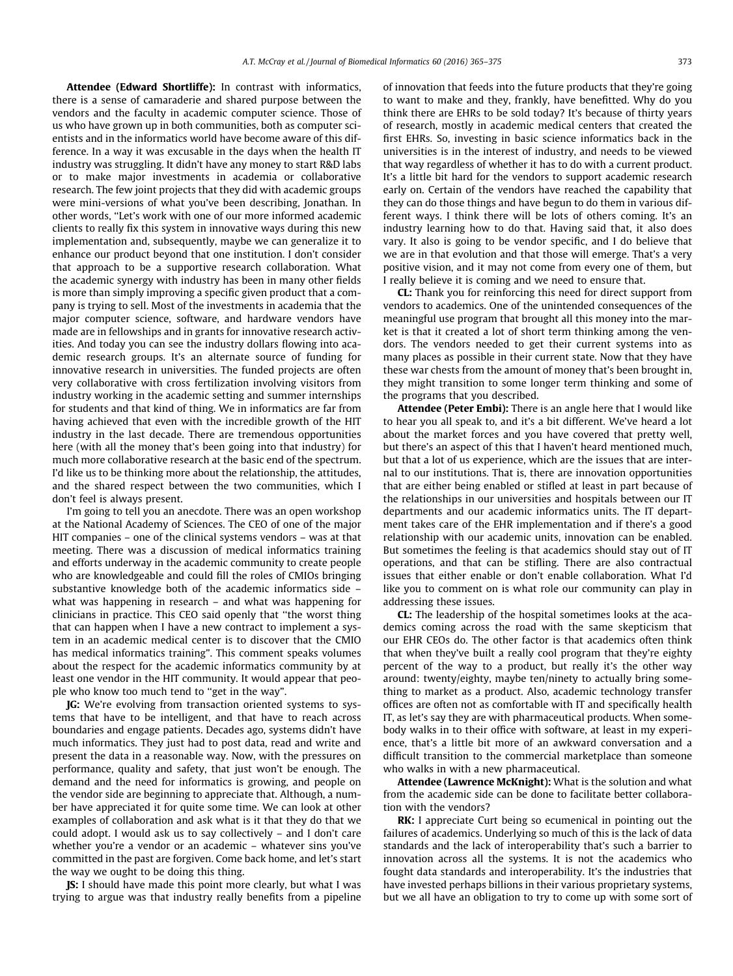Attendee (Edward Shortliffe): In contrast with informatics, there is a sense of camaraderie and shared purpose between the vendors and the faculty in academic computer science. Those of us who have grown up in both communities, both as computer scientists and in the informatics world have become aware of this difference. In a way it was excusable in the days when the health IT industry was struggling. It didn't have any money to start R&D labs or to make major investments in academia or collaborative research. The few joint projects that they did with academic groups were mini-versions of what you've been describing, Jonathan. In other words, ''Let's work with one of our more informed academic clients to really fix this system in innovative ways during this new implementation and, subsequently, maybe we can generalize it to enhance our product beyond that one institution. I don't consider that approach to be a supportive research collaboration. What the academic synergy with industry has been in many other fields is more than simply improving a specific given product that a company is trying to sell. Most of the investments in academia that the major computer science, software, and hardware vendors have made are in fellowships and in grants for innovative research activities. And today you can see the industry dollars flowing into academic research groups. It's an alternate source of funding for innovative research in universities. The funded projects are often very collaborative with cross fertilization involving visitors from industry working in the academic setting and summer internships for students and that kind of thing. We in informatics are far from having achieved that even with the incredible growth of the HIT industry in the last decade. There are tremendous opportunities here (with all the money that's been going into that industry) for much more collaborative research at the basic end of the spectrum. I'd like us to be thinking more about the relationship, the attitudes, and the shared respect between the two communities, which I don't feel is always present.

I'm going to tell you an anecdote. There was an open workshop at the National Academy of Sciences. The CEO of one of the major HIT companies – one of the clinical systems vendors – was at that meeting. There was a discussion of medical informatics training and efforts underway in the academic community to create people who are knowledgeable and could fill the roles of CMIOs bringing substantive knowledge both of the academic informatics side – what was happening in research – and what was happening for clinicians in practice. This CEO said openly that ''the worst thing that can happen when I have a new contract to implement a system in an academic medical center is to discover that the CMIO has medical informatics training". This comment speaks volumes about the respect for the academic informatics community by at least one vendor in the HIT community. It would appear that people who know too much tend to ''get in the way".

JG: We're evolving from transaction oriented systems to systems that have to be intelligent, and that have to reach across boundaries and engage patients. Decades ago, systems didn't have much informatics. They just had to post data, read and write and present the data in a reasonable way. Now, with the pressures on performance, quality and safety, that just won't be enough. The demand and the need for informatics is growing, and people on the vendor side are beginning to appreciate that. Although, a number have appreciated it for quite some time. We can look at other examples of collaboration and ask what is it that they do that we could adopt. I would ask us to say collectively – and I don't care whether you're a vendor or an academic – whatever sins you've committed in the past are forgiven. Come back home, and let's start the way we ought to be doing this thing.

JS: I should have made this point more clearly, but what I was trying to argue was that industry really benefits from a pipeline of innovation that feeds into the future products that they're going to want to make and they, frankly, have benefitted. Why do you think there are EHRs to be sold today? It's because of thirty years of research, mostly in academic medical centers that created the first EHRs. So, investing in basic science informatics back in the universities is in the interest of industry, and needs to be viewed that way regardless of whether it has to do with a current product. It's a little bit hard for the vendors to support academic research early on. Certain of the vendors have reached the capability that they can do those things and have begun to do them in various different ways. I think there will be lots of others coming. It's an industry learning how to do that. Having said that, it also does vary. It also is going to be vendor specific, and I do believe that we are in that evolution and that those will emerge. That's a very positive vision, and it may not come from every one of them, but I really believe it is coming and we need to ensure that.

CL: Thank you for reinforcing this need for direct support from vendors to academics. One of the unintended consequences of the meaningful use program that brought all this money into the market is that it created a lot of short term thinking among the vendors. The vendors needed to get their current systems into as many places as possible in their current state. Now that they have these war chests from the amount of money that's been brought in, they might transition to some longer term thinking and some of the programs that you described.

Attendee (Peter Embi): There is an angle here that I would like to hear you all speak to, and it's a bit different. We've heard a lot about the market forces and you have covered that pretty well, but there's an aspect of this that I haven't heard mentioned much, but that a lot of us experience, which are the issues that are internal to our institutions. That is, there are innovation opportunities that are either being enabled or stifled at least in part because of the relationships in our universities and hospitals between our IT departments and our academic informatics units. The IT department takes care of the EHR implementation and if there's a good relationship with our academic units, innovation can be enabled. But sometimes the feeling is that academics should stay out of IT operations, and that can be stifling. There are also contractual issues that either enable or don't enable collaboration. What I'd like you to comment on is what role our community can play in addressing these issues.

CL: The leadership of the hospital sometimes looks at the academics coming across the road with the same skepticism that our EHR CEOs do. The other factor is that academics often think that when they've built a really cool program that they're eighty percent of the way to a product, but really it's the other way around: twenty/eighty, maybe ten/ninety to actually bring something to market as a product. Also, academic technology transfer offices are often not as comfortable with IT and specifically health IT, as let's say they are with pharmaceutical products. When somebody walks in to their office with software, at least in my experience, that's a little bit more of an awkward conversation and a difficult transition to the commercial marketplace than someone who walks in with a new pharmaceutical.

Attendee (Lawrence McKnight): What is the solution and what from the academic side can be done to facilitate better collaboration with the vendors?

RK: I appreciate Curt being so ecumenical in pointing out the failures of academics. Underlying so much of this is the lack of data standards and the lack of interoperability that's such a barrier to innovation across all the systems. It is not the academics who fought data standards and interoperability. It's the industries that have invested perhaps billions in their various proprietary systems, but we all have an obligation to try to come up with some sort of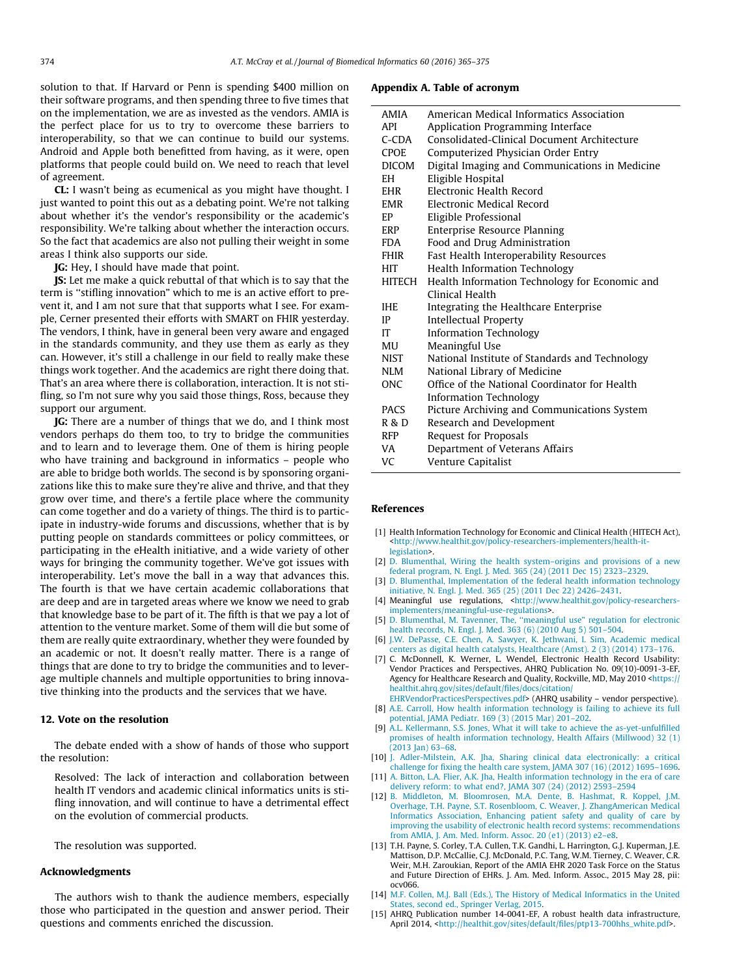<span id="page-9-0"></span>solution to that. If Harvard or Penn is spending \$400 million on their software programs, and then spending three to five times that on the implementation, we are as invested as the vendors. AMIA is the perfect place for us to try to overcome these barriers to interoperability, so that we can continue to build our systems. Android and Apple both benefitted from having, as it were, open platforms that people could build on. We need to reach that level of agreement.

CL: I wasn't being as ecumenical as you might have thought. I just wanted to point this out as a debating point. We're not talking about whether it's the vendor's responsibility or the academic's responsibility. We're talking about whether the interaction occurs. So the fact that academics are also not pulling their weight in some areas I think also supports our side.

JG: Hey, I should have made that point.

JS: Let me make a quick rebuttal of that which is to say that the term is ''stifling innovation" which to me is an active effort to prevent it, and I am not sure that that supports what I see. For example, Cerner presented their efforts with SMART on FHIR yesterday. The vendors, I think, have in general been very aware and engaged in the standards community, and they use them as early as they can. However, it's still a challenge in our field to really make these things work together. And the academics are right there doing that. That's an area where there is collaboration, interaction. It is not stifling, so I'm not sure why you said those things, Ross, because they support our argument.

JG: There are a number of things that we do, and I think most vendors perhaps do them too, to try to bridge the communities and to learn and to leverage them. One of them is hiring people who have training and background in informatics – people who are able to bridge both worlds. The second is by sponsoring organizations like this to make sure they're alive and thrive, and that they grow over time, and there's a fertile place where the community can come together and do a variety of things. The third is to participate in industry-wide forums and discussions, whether that is by putting people on standards committees or policy committees, or participating in the eHealth initiative, and a wide variety of other ways for bringing the community together. We've got issues with interoperability. Let's move the ball in a way that advances this. The fourth is that we have certain academic collaborations that are deep and are in targeted areas where we know we need to grab that knowledge base to be part of it. The fifth is that we pay a lot of attention to the venture market. Some of them will die but some of them are really quite extraordinary, whether they were founded by an academic or not. It doesn't really matter. There is a range of things that are done to try to bridge the communities and to leverage multiple channels and multiple opportunities to bring innovative thinking into the products and the services that we have.

#### 12. Vote on the resolution

The debate ended with a show of hands of those who support the resolution:

Resolved: The lack of interaction and collaboration between health IT vendors and academic clinical informatics units is stifling innovation, and will continue to have a detrimental effect on the evolution of commercial products.

The resolution was supported.

#### Acknowledgments

The authors wish to thank the audience members, especially those who participated in the question and answer period. Their questions and comments enriched the discussion.

#### Appendix A. Table of acronym

| <b>AMIA</b>  | American Medical Informatics Association       |
|--------------|------------------------------------------------|
| API          | Application Programming Interface              |
| $C$ -CDA     | Consolidated-Clinical Document Architecture    |
| <b>CPOE</b>  | Computerized Physician Order Entry             |
| <b>DICOM</b> | Digital Imaging and Communications in Medicine |
| EH.          | Eligible Hospital                              |
| <b>EHR</b>   | Electronic Health Record                       |
| <b>EMR</b>   | Electronic Medical Record                      |
| EP           | Eligible Professional                          |
| ERP          | Enterprise Resource Planning                   |
| <b>FDA</b>   | Food and Drug Administration                   |
| <b>FHIR</b>  | Fast Health Interoperability Resources         |
| HIT          | <b>Health Information Technology</b>           |
| HITECH       | Health Information Technology for Economic and |
|              | Clinical Health                                |
| <b>IHE</b>   | Integrating the Healthcare Enterprise          |
| IP           | <b>Intellectual Property</b>                   |
| IT           | <b>Information Technology</b>                  |
| MU           | Meaningful Use                                 |
| <b>NIST</b>  | National Institute of Standards and Technology |
| <b>NLM</b>   | National Library of Medicine                   |
| <b>ONC</b>   | Office of the National Coordinator for Health  |
|              | <b>Information Technology</b>                  |
| <b>PACS</b>  | Picture Archiving and Communications System    |
| R & D        | Research and Development                       |
| <b>RFP</b>   | Request for Proposals                          |
| VA           | Department of Veterans Affairs                 |
| VC           | Venture Capitalist                             |

#### **References**

- [1] Health Information Technology for Economic and Clinical Health (HITECH Act), [<http://www.healthit.gov/policy-researchers-implementers/health-it](http://www.healthit.gov/policy-researchers-implementers/health-it-legislation)[legislation>](http://www.healthit.gov/policy-researchers-implementers/health-it-legislation).
- [2] [D. Blumenthal, Wiring the health system–origins and provisions of a new](http://refhub.elsevier.com/S1532-0464(16)00043-5/h0010) [federal program, N. Engl. J. Med. 365 \(24\) \(2011 Dec 15\) 2323–2329](http://refhub.elsevier.com/S1532-0464(16)00043-5/h0010).
- [3] [D. Blumenthal, Implementation of the federal health information technology](http://refhub.elsevier.com/S1532-0464(16)00043-5/h0015) [initiative, N. Engl. J. Med. 365 \(25\) \(2011 Dec 22\) 2426–2431](http://refhub.elsevier.com/S1532-0464(16)00043-5/h0015).
- [4] Meaningful use regulations, [<http://www.healthit.gov/policy-researchers](http://www.healthit.gov/policy-researchers-implementers/meaningful-use-regulations)[implementers/meaningful-use-regulations](http://www.healthit.gov/policy-researchers-implementers/meaningful-use-regulations)>.
- [5] [D. Blumenthal, M. Tavenner, The, ''meaningful use" regulation for electronic](http://refhub.elsevier.com/S1532-0464(16)00043-5/h0025) [health records, N. Engl. J. Med. 363 \(6\) \(2010 Aug 5\) 501–504](http://refhub.elsevier.com/S1532-0464(16)00043-5/h0025).
- [6] [J.W. DePasse, C.E. Chen, A. Sawyer, K. Jethwani, I. Sim, Academic medical](http://refhub.elsevier.com/S1532-0464(16)00043-5/h0030) [centers as digital health catalysts, Healthcare \(Amst\). 2 \(3\) \(2014\) 173–176.](http://refhub.elsevier.com/S1532-0464(16)00043-5/h0030)
- C. McDonnell, K. Werner, L. Wendel, Electronic Health Record Usability: Vendor Practices and Perspectives, AHRQ Publication No. 09(10)-0091-3-EF, Agency for Healthcare Research and Quality, Rockville, MD, May 2010 [<https://](https://healthit.ahrq.gov/sites/default/files/docs/citation/EHRVendorPracticesPerspectives.pdf) [healthit.ahrq.gov/sites/default/files/docs/citation/](https://healthit.ahrq.gov/sites/default/files/docs/citation/EHRVendorPracticesPerspectives.pdf)
- [EHRVendorPracticesPerspectives.pdf>](https://healthit.ahrq.gov/sites/default/files/docs/citation/EHRVendorPracticesPerspectives.pdf) (AHRQ usability vendor perspective). [8] [A.E. Carroll, How health information technology is failing to achieve its full](http://refhub.elsevier.com/S1532-0464(16)00043-5/h0040) [potential, JAMA Pediatr. 169 \(3\) \(2015 Mar\) 201–202.](http://refhub.elsevier.com/S1532-0464(16)00043-5/h0040)
- [9] [A.L. Kellermann, S.S. Jones, What it will take to achieve the as-yet-unfulfilled](http://refhub.elsevier.com/S1532-0464(16)00043-5/h0045) [promises of health information technology, Health Affairs \(Millwood\) 32 \(1\)](http://refhub.elsevier.com/S1532-0464(16)00043-5/h0045)  $(2013 \text{ Jan}) 63-68.$
- [10] [J. Adler-Milstein, A.K. Jha, Sharing clinical data electronically: a critical](http://refhub.elsevier.com/S1532-0464(16)00043-5/h0050) [challenge for fixing the health care system, JAMA 307 \(16\) \(2012\) 1695–1696](http://refhub.elsevier.com/S1532-0464(16)00043-5/h0050).
- [11] [A. Bitton, L.A. Flier, A.K. Jha, Health information technology in the era of care](http://refhub.elsevier.com/S1532-0464(16)00043-5/h0055) [delivery reform: to what end?, JAMA 307 \(24\) \(2012\) 2593–2594](http://refhub.elsevier.com/S1532-0464(16)00043-5/h0055)
- [12] [B. Middleton, M. Bloomrosen, M.A. Dente, B. Hashmat, R. Koppel, J.M.](http://refhub.elsevier.com/S1532-0464(16)00043-5/h0060) [Overhage, T.H. Payne, S.T. Rosenbloom, C. Weaver, J. ZhangAmerican Medical](http://refhub.elsevier.com/S1532-0464(16)00043-5/h0060) [Informatics Association, Enhancing patient safety and quality of care by](http://refhub.elsevier.com/S1532-0464(16)00043-5/h0060) [improving the usability of electronic health record systems: recommendations](http://refhub.elsevier.com/S1532-0464(16)00043-5/h0060) [from AMIA, J. Am. Med. Inform. Assoc. 20 \(e1\) \(2013\) e2–e8.](http://refhub.elsevier.com/S1532-0464(16)00043-5/h0060)
- [13] T.H. Payne, S. Corley, T.A. Cullen, T.K. Gandhi, L. Harrington, G.J. Kuperman, J.E. Mattison, D.P. McCallie, C.J. McDonald, P.C. Tang, W.M. Tierney, C. Weaver, C.R. Weir, M.H. Zaroukian, Report of the AMIA EHR 2020 Task Force on the Status and Future Direction of EHRs. J. Am. Med. Inform. Assoc., 2015 May 28, pii: ocv066.
- [14] [M.F. Collen, M.J. Ball \(Eds.\), The History of Medical Informatics in the United](http://refhub.elsevier.com/S1532-0464(16)00043-5/h0070) [States, second ed., Springer Verlag, 2015](http://refhub.elsevier.com/S1532-0464(16)00043-5/h0070).
- [15] AHRQ Publication number 14-0041-EF, A robust health data infrastructure, April 2014, <[http://healthit.gov/sites/default/files/ptp13-700hhs\\_white.pdf>](http://healthit.gov/sites/default/files/ptp13-700hhs_white.pdf).